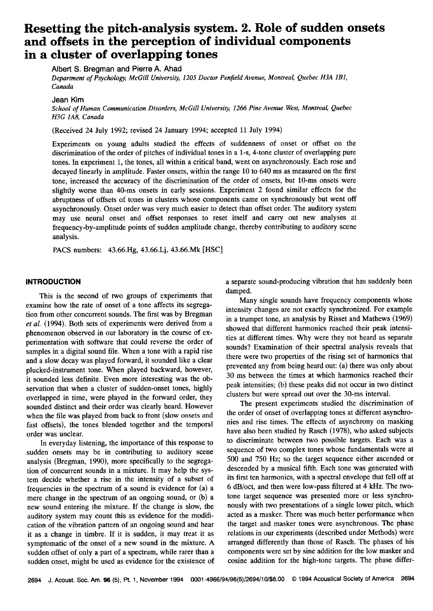# **Resetting the pitch-analysis system. 2. Role of sudden onsets and offsets in the perception of individual components in a cluster of overlapping tones**

**Albert S. Bregman and Pierre A. Ahad** 

Department of Psychology, McGill University, 1205 Doctor Penfield Avenue, Montreal, Quebec H3A 1B1, **Canada** 

#### **Jean Kim**

**School of Human Communication Disorders, McGill University, 1266 Pine Avenue West, Montreal, Quebec H3G 1A8, Canada** 

**(Received 24 July 1992; revised 24 January 1994; accepted 11 July 1994)** 

Experiments on young adults studied the effects of suddenness of onset or offset on the **discrimination ofthe order of pitches of individual tones in a l-s, 4-tone cluster of overlapping pure**  tones. In experiment 1, the tones, all within a critical band, went on asynchronously. Each rose and **decayed linearly in amplitude. Faster onsets, within the range 10 to 640 ms as measured on the first**  tone, increased the accuracy of the discrimination of the order of onsets, but 10-ms onsets were **slightly worse than 40-ms onsets in early sessions. Experiment 2 found similar effects for the abruptness of offsets of tones in clusters whose components came on synchronously but went off asynchronously. Onset order was very much easier to detecthan offset order. The auditory system may use neural onset and offset responses to reset itself and carry out new analyses at frequency-by-amplitude points of sudden amplitude change, thereby contributing to auditory scene analysis.** 

**PACS numbers: 43.66.Hg, 43.66.Lj, 43.66.Mk [HSC]** 

# **INTRODUCTION**

**This is the second of two groups of experiments that examine how the rate of onset of a tone affects its segregation from other concurrent sounds. The first was by Bregman et al. (1994). Both sets of experiments were derived from a phenomenon observed in our laboratory in the course of experimentation with software that could reverse the order of samples in a digital sound file. When a tone with a rapid rise and a slow decay was played forward, it sounded like a clear plucked-instrument tone. When played backward, however, it sounded less definite. Even more interesting was the observation that when a cluster of sudden-onset tones, highly overlapped in time, were played in the forward order, they sounded distinct and their order was clearly heard. However when the file was played from back to front (slow onsets and fast offsets), the tones blended together and the temporal order was unclear.** 

**In everyday listening, the importance of this response to sudden onsets may be in contributing to auditory scene analysis (Bregman, 1990), more specifically to the segregation of concurrent sounds in a mixture. It may help the system decide whether a rise in the intensity of a subset of**  frequencies in the spectrum of a sound is evidence for (a) a mere change in the spectrum of an ongoing sound, or (b) a **new sound entering the mixture. If the change is slow, the auditory system may count this as evidence for the modification of the vibration pattern of an ongoing sound and hear it as a change in timbre. If it is sudden, it may treat it as**  symptomatic of the onset of a new sound in the mixture. A **sudden offset of only a part of a spectrum, while rarer than a sudden onset, might be used as evidence for the existence of**  **a separate sound-producing vibration that has suddenly been damped.** 

**Many single sounds have frequency components whose intensity changes are not exactly synchronized. For example in a trumpet tone, an analysis by Risset and Mathews (1969) showed that different harmonics reached their peak intensities at different times. Why were they not heard as separate sounds? Examination of their spectral analysis reveals that there were two properties of the rising set of harmonics that prevented any from being heard out: (a) there was only about 30 ms between the times at which harmonics reached their peak intensities; (b) these peaks did not occur in two distinct clusters but were spread out over the 30-ms interval.** 

The present experiments studied the discrimination of **the order of onset of overlapping tones at different asynchrohies and rise times. The effects of asynchrony on masking have also been studied by Rasch (1978), who asked subjects to discriminate between two possible targets. Each was a sequence of two complex tones whose fundamentals were at**  500 and 750 Hz; so the target sequence either ascended or **descended by a musical fifth. Each tone was generated with its first ten harmonics, with a spectral envelope that fell off at 6 dB/oct, and then were low-pass filtered at 4 kHz. The twotone target sequence was presented more or less synchro**nously with two presentations of a single lower pitch, which **acted as a masker. There was much better performance when the target and masker tones were asynchronous. The phase relations in our experiments (described under Methods) were**  arranged differently than those of Rasch. The phases of his **components were set by sine addition for the low masker and cosine addition for the high-tone targets. The phase differ-**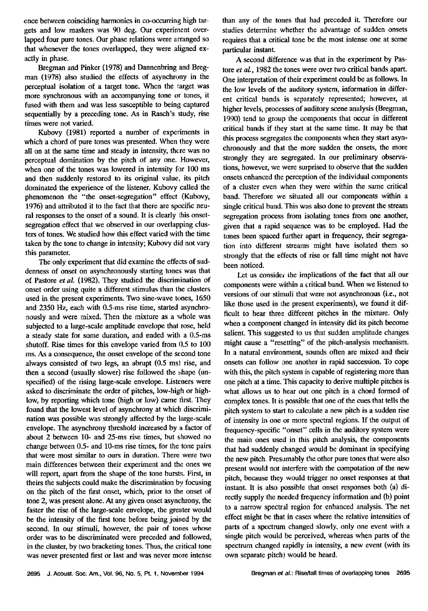**ence between coinciding harmonics in co-occurring high tar**gets and low maskers was 90 deg. Our experiment over**lapped four pure tones. Our phase relations were arranged so that whenever the tones overlapped, they were aligned exactly in phase.** 

**Bregman and Pinker (1978) and Dannenbring and Bregman (1978) also studied the effects of asynchrony in the**  perceptual isolation of a target tone. When the target was **more synchronous with an accompanying tone or tones, it fused with them and was less susceptible to being captured sequentially by a preceding tone. As in Rasch's study, rise times were not varied.** 

**Kubovy (1981) reported a number of experiments in which a chord of pure tones was presented. When they were all on at the same time and steady in intensity, the.re was no perceptual domination by the pitch of any one. However,**  when one of the tones was lowered in intensity for 100 ms **and then suddenly restored to its original value, its pitch dominated the experience of the listener. Kubovy called the phenomenon the "the onset-segregation" effect (Kubovy, 1976) and attributed it to the fact that there are specific neu**ral responses to the onset of a sound. It is clearly this onset**segregation effect that we observed in our overlapping clusters of tones. We studied how this effect varied wilh the time taken by the tone to change in intensity; Kubovy did not vary this parameter.** 

**The only experiment that did examine the effects of suddenness of onset on asynchronously starting tones was that of Pastore et al. (1982). They studied the discrimination of onset order using quite a different stimulus than the clusters used in the present experiments. Two sine-wave tones, 1650 and 2350 Hz, each with 0.5-ms rise time, started asynchronously and were mixed. Then the mixture as a whole was**  subjected to a large-scale amplitude envelope that rose, held **a steady state for some duration, and ended with a 0.5-ms shutoff. Rise times for this envelope varied from 0.5 to 100 ms. As a consequence, the onset envelope of the second tone**  always consisted of two legs, an abrupt (0.5 ms) rise, and **then a second (usually slower) rise followed the •.hape (unspecified) of the rising large-scale envelope. Listeners were asked to discriminate the order of pitches, low-high or highlow, by reporting which tone (high or low) came first. They found that the lowest level of asynchrony at which discrimination was possible was strongly affected by the large-scale envelope. The asynchrony threshold increased by a factor of about 2 between 10- and 25-ms rise times, but showed no change between 0.5- and 10-ms rise times, for the tone pairs that were most similar to ours in duration. There were two main differences between their experiment and the ones we**  will report, apart from the shape of the tone bursts. First, in theirs the subjects could make the discrimination by focusing **on the pitch of the first onset, which, prior to the onset of tone 2, was present alone. At any given onset asynchrony, the faster the rise of the large-scale envelope, the greater would be the intensity of the first tone before being joined by the second. In our stimuli, however, the pair of tones whose order was to be discriminated were preceded and followed, in the cluster, by two bracketing tones. Thus, the critical tone was never presented first or last and was never more intense**  **than any of the tones that had preceded it. Therefore our studies determine whether the advantage of sudden onsets requires that a critical tone be the most intense one at some particular instant.** 

**A second difference was that in the experiment by Pustore et al., 1982 the tones were over two critical bands apart. One interpretation of their experiment could be as follows. In the low levels of the auditory system, information in different critical bands is separately represented; however, at**  higher levels, processes of auditory scene analysis (Bregman, 1990) tend to group the components that occur in different **critical bands if they start at the same time. It may be that this process segregates the components when they start asynchronously and that the more sudden the onsets, the more**  strongly they are segregated. In our preliminary observa**tions, however, we were surprised to observe that the sudden onsets enhanced the perception of the individual components of a cluster even when they were within the same critical band. Therefore we situated all our components within a single critical band. This was also done to prevent the stream segregation process from i:solating tones from one another, given that a rapid sequence was to be employed. Had the tones been spaced further apart in frequency, their segrega**tion into different streams might have isolated them so **strongly that the effects of rise or fall time might not have been noticed.** 

Let us consider the implications of the fact that all our **components were within a critical band. When we listened to versions of our stimuli that were not asynchronous (i.e., not**  like those used in the present experiments), we found it dif**ficult to hear three different pitches in the mixture. Only when a component changed in intensity did its pitch become salient. This suggested to us that sudden amplitude changes might cause a "resetting" of the pitch-analysis mechanism. In a natural environment, sounds often are mixed and their onsets can follow one another in rapid succession. To cope with this, the pitch system is capable of registering more than one pitch at a time. This capacity to derive multiple pitches is what allows us to hear out one pitch in a chord formed of complex tones. It is possible: that one of the cues that tells the**  pitch system to start to calculate a new pitch is a sudden rise of intensity in one or more spectral regions. If the output of **frequency-specific "onset" cells in the auditory system were the main ones used in this pitch analysis, the components that had suddenly changed would be dominant in specifying the new pitch. Presumably the other pure tones that were also present would not finterfere with the computation of the new**  pitch, because they would trigger no onset responses at that **instant. It is also possible lhat onset responses both (a) directly supply the needed frequency information and (b) point to a narrow spectral region for enhanced analysis. The net effect might be that in case:; where the relative intensities of parts of a spectrum changed slowly. only one event with a single pitch would be perceived, whereas when pans of the spectrum changed rapidly in intensity, a new event (with its own separate pitch) would be heard.**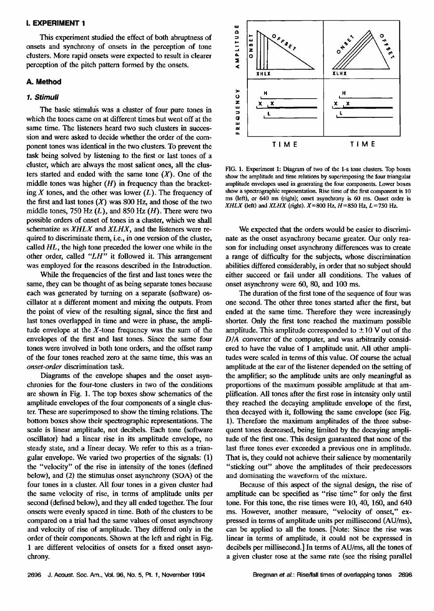## **I. EXPERIMENT 1**

**This experiment studied the effect of both abruptness of onsets and synchrony of onsets in the perception of tone clusters. More rapid onsets were expected to result in clearer perception of the pitch pattern formed by the onsets.** 

# **A. Method**

# **1. Stimuli**

The basic stimulus was a cluster of four pure tones in **which the tones came on at different times but went off at the same time. The listeners heard two such clusters in succession and were asked to decide whether the order of the com**ponent tones was identical in the two clusters. To prevent the **task being solved by listening to the first or last tones of a cluster, which are always the most salient ones, all the clus**ters started and ended with the same tone  $(X)$ . One of the **middle tones was higher (H) in frequency than the bracket**ing  $X$  tones, and the other was lower  $(L)$ . The frequency of the first and last tones  $(X)$  was 800 Hz, and those of the two **middle tones, 750 Hz (L), and 850 Hz (H). There were two possible orders of onset of tones in a cluster, which we shall schematize as XHLX and XLHX, and the listeners were required to discriminate them, i.e., in one version of the cluster, called HL, the high tone preceded the lower one while in the other order, called "LH" it followed it. This arrangement was employed for the reasons described in the Introduction.** 

**While the frequencies of the first and last tones were the same, they can be thought of as being separate tones because each was generated by turning on a separate (software) oscillator at a different moment and mixing the outputs. From the point of view of the resulting signal, since the first and last tones overlapped in time and were in phase, the amplitude envelope at the X-tone frequency was the sum of the envelopes of the first and last tones. Since the same four tones were involved in both tone orders, and the offset ramp of the four tones reached zero at the same time, this was an onset-order discrimination task.** 

**Diagrams of the envelope shapes and the onset asynchronics for the four-tone clusters in two of the conditions are shown in Fig. 1. The top boxes show schematics of the amplitude envelopes of the four components of a single cluster. These are superimposed to show the timing relations. The bottom boxes show their spectrographic representations. The scale is linear amplitude, not decibels. Each tone (software oscillator) had a linear rise in its amplitude envelope, no steady state, and a linear decay. We refer to this as a triangular envelope. We varied two properties of the signals: (1) the "velocity" of the rise in intensity of the tones (defined below), and (2) the stimulus onset asynchrony (SOA) of the four tones in a cluster. All four tones in a given cluster had the same velocity of rise, in terms of amplitude units per second (defined below), and they all ended together. The four onsets were evenly spaced in time. Both of the clusters to be compared on a trial had the same values of onset asynchrony and velocity of rise of amplitude. They differed only in the order of their components. Shown at the left and right in Fig. 1 are different velocities of onsets for a fixed onset asynchrony.** 



**FIG. 1. Experiment 1: Diagram of two of the 1-s tone clusters. Top boxes show the amplitude and time relations by superimposing the four triangular**  amplitude envelopes used in generating the four components. Lower boxes **show a spectrographic representation. Rise time of the first component is 10 ms (left), or 640 ms (fight); onset asynchrony is60 ms. Onset order is XHLX** (left) and **XLHX** (right).  $X = 800$  Hz,  $H = 850$  Hz,  $L = 750$  Hz.

**We expected that the orders would be easier to discriminate as the onset asynchrony became greater. Our only reason for including onset asynchrony differences was to create a range of difficulty for the subjects, whose discrimination abilities differed considerably, inorder that no subject should either succeed or fail under all conditions. The values of onset asynchrony were 60, 80, and 100 ms.** 

**The duration of the first tone of the sequence of four was one second. The other three tones started after the first, but ended at the same time. Therefore they were increasingly shorter. Only the first tone reached the maximum possible**  amplitude. This amplitude corresponded to  $\pm 10$  V out of the **D/A converter of the computer, and was arbitrarily considered to have the value of 1 amplitude unit. All other amplitudes were scaled in terms of this value. Of course the actual amplitude at the ear of the listener depended on the setting of the amplifier; so the amplitude units are only meaningful as proportions of the maximum possible amplitude at that amplification. All tones after the first rose in intensity only until they reached the decaying amplitude envelope of the first, then decayed with it, following the same envelope (see Fig. 1). Therefore the maximum amplitudes of the three subsequent tones decreased, being limited by the decaying amplitude of the first one. This design guaranteed that none of the last three tones ever exceeded a previous one in amplitude. That is, they could not achieve their sallenee by momentarily "sticking out" above the amplitudes of their predecessors and dominating the waveform of the mixture.** 

**Because of this aspect of the signal design, the rise of amplitude can be specified as "rise time" for only the first tone. For this tone, the rise times were 10, 40, 160, and 640 ms. However, another measure, "velocity of onset," expressed in terms of amplitude units per millisecond (AU/ms), can be applied to all the tones. [Note: Since the rise was linear in terms of amplitude, it could not be expressed in**  decibels per millisecond.] In terms of AU/ms, all the tones of a given cluster rose at the same rate (see the rising parallel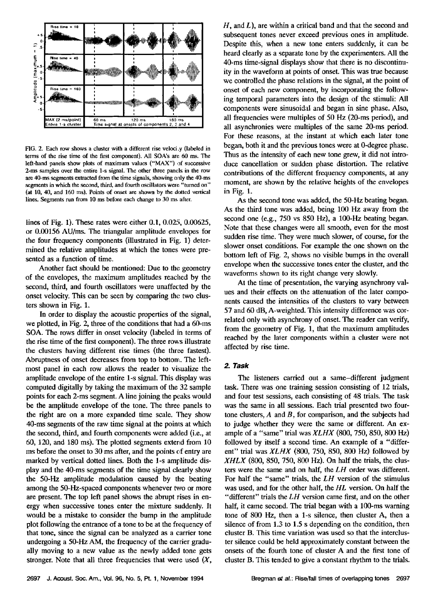

**FIG. 2. Each row shows a cluster with a different rise veloci .y (labeled in terms of the rise time of the first component). All SOA's are 60 ms. The left-hand panels show plots of maximum values ("MAX") of successive 2-ms samples over the entire 1-s signal. The other three pands in the row are 40-ms segments extracted from the time signals, showing only the 40-ms segments in which the second, third, and fourth oscillators were "turned on"**  (at 10, 40, and 160 ms). Points of onset are shown by the dotted vertical **lines. Segments run from 10 ms before each change to 30 ms after.** 

**lines of Fig. 1). These rates were either 0.1, 0.025, 0.00625, or 0.00156 AU/ms. The triangular amplitude envelopes for**  the four frequency components (illustrated in Fig. 1) deter**mined the relative amplitudes at which the tones were presented as a function of time.** 

**Another fact should be mentioned: Due to the: geometry of the envelopes, the maximum amplitudes reached by the second, third, and fourth oscillators were unaffected by the**  onset velocity. This can be seen by comparing the two clus**ters shown in Fig. 1.** 

**In order to display the acoustic properties of the signal,**  we plotted, in Fig. 2, three of the conditions that had a 60-ms **SOA. The rows differ in onset velocity (labeled in terms of the rise time of the first component). The three rows illustrate**  the clusters having different rise times (the three fastest). **Abruptness of onset decreases from top to botton'.. The left**most panel in each row allows the reader to visualize the **amplitude envelope of the entire 1-s signal. This display was computed digitally by taking the maximum of the 32 sample points for each 2-ms segment. A line joining the peaks would be the amplitude envelope of the tone. The three panels to the right are on a more expanded time scale. They show 40-ms segments of the raw time signal at the poims at which the second, third, and fourth components were added (i.e., at 60, 120, and 180 ms). The plotted segments extend from 10**  ms before the onset to 30 ms after, and the points of entry are **marked by vertical dotted lines. Both the l-s amplitude display and the 40-ms segments of the time signal clearly show the 50-Hz amplitude modulation caused by the beating among the 50-Hz-spaced components whenever two or more are present. The top left panel shows the abrupt rises in energy when successive tones enter the mixture suddenly. It would be a mistake to consider the bump in the amplitude plot following the entrance of a tone to be at the frequency of that tone, since the signal can be analyzed as a carrier tone undergoing a 50-Hz AM, the frequency of the carrier gradually moving to a new value as the newly added tone gets stronger. Note that all three frequencies that were used (X,** 

 $H$ , and  $L$ ), are within a critical band and that the second and **subsequent tones never exceed previous ones in amplitude. Despite this, when a new tone enters suddenly, it can be heard clearly as a separate tone by the experimenters. All the 40-ms time-signal displays show that there is no discontinuity in the waveform at points of onset. This was true because**  we controlled the phase relations in the signal, at the point of **onset of each new' component, by incorporating the following temporal parameters into the design of the stimuli: All components were sinusoidal and began in sine phase. Also, all frequencies were multiples of 50 Hz (20-ms period), and all asynchronies were multiples of the same 20-ms period. For these reasons, at the instant at which each later tone began, both it and the previous tones were at O-degree phase. Thus as the intensity of each new tone grew, it did not introduce cancellation or sudden phase distortion. The relative contributions of the different frequency components, at any moment, are shown by the relative heights of the envelopes in Fig. 1.** 

As the second tone was added, the 50-Hz beating began. **As the third tone was added, being 100 Hz away from the second one (e.g., 750 vs 850 Hz), a 100-Hz beating began. Note that these changes were all smooth, even for the most sudden rise time. They were much slower, of course, for the slower onset conditions. For example the one shown on the**  bottom left of Fig. 2, shows no visible bumps in the overall envelope when the successive tones enter the cluster, and the **waveforms shown to its right change very slowly.** 

**At the time of presentation, the varying asynchrony values and their effects on the attenuation of the later components caused the intensitiea of the clusters to vary between 57 and 60 dB, A-weighted. This intensity difference was correlated only with asynchrony of onset. The reader can verify, from the geometry of Fig. 1, that the maximum amplitudes**  reached by the later components within a cluster were not **affected by rise time.** 

## **2. Task**

**The listeners carried out a same-different judgment task. There was one training session consisting of 12 trials, and four test sessions, each consisting of 48 trials. The task was the same in all sessions. Each trial presented two four**tone clusters,  $A$  and  $B$ , for comparison, and the subjects had **to judge whether they were the same or different. An example of a "same" trial was XLHX (800, 750, 850, 800 Hz)**  followed by itself a second time. An example of a "differ**ent" trial was XLHX (800, 750, 850, 800 Hz) followed by XHLX (800, 850, 750, 800 Hz). On half the trials, the clusters were the same and on half, the LH order was different. For half the "same" trials. the LH version of the stimulus**  was used, and for the other half, the HL version. On half the **"different" trials the LH vcrsion came first, and on the other**  half, it came second. The trial began with a 100-ms warning **tone of 800 Hz, then a 1-s silence, then cluster A, then a silence of from 1.3 to 1.5 s depending on the condition, then cluster B. This time variation was used so that the intercluster silence could be held approximately constant between the onsets of the fourth tone of cluster A and the first tone of cluster B. This tended to give a constant rhythm to the trials.**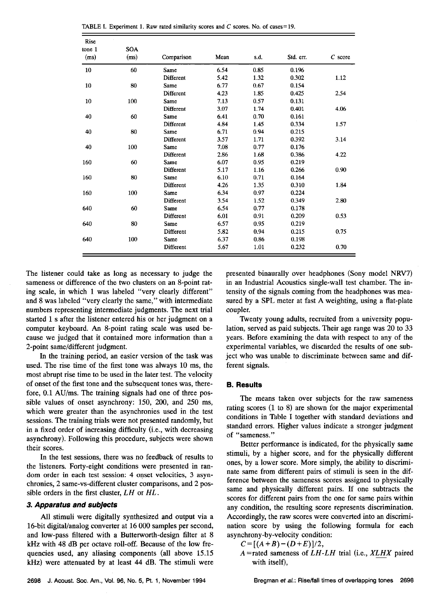| Rise<br>tone 1 | <b>SOA</b> |            |      |      |           |           |
|----------------|------------|------------|------|------|-----------|-----------|
| (ms)           | (ms)       | Comparison | Mean | s.d. | Std. err. | $C$ score |
| 10             | 60         | Same       | 6.54 | 0.85 | 0.196     |           |
|                |            | Different  | 5.42 | 1.32 | 0.302     | 1.12      |
| 10             | 80         | Same       | 6.77 | 0.67 | 0.154     |           |
|                |            | Different  | 4.23 | 1.85 | 0.425     | 2.54      |
| 10             | 100        | Same       | 7.13 | 0.57 | 0.131     |           |
|                |            | Different  | 3.07 | 1.74 | 0.401     | 4.06      |
| 40             | 60         | Same       | 6.41 | 0.70 | 0.161     |           |
|                |            | Different  | 4.84 | 1.45 | 0.334     | 1.57      |
| 40             | 80         | Same       | 6.71 | 0.94 | 0.215     |           |
|                |            | Different  | 3.57 | 1.71 | 0.392     | 3.14      |
| 40             | 100        | Same       | 7.08 | 0.77 | 0.176     |           |
|                |            | Different  | 2.86 | 1.68 | 0.386     | 4.22      |
| 160            | 60         | Same       | 6.07 | 0.95 | 0.219     |           |
|                |            | Different  | 5.17 | 1.16 | 0.266     | 0.90      |
| 160            | 80         | Same       | 6.10 | 0.71 | 0.164     |           |
|                |            | Different  | 4.26 | 1.35 | 0.310     | 1.84      |
| 160            | 100        | Same       | 6.34 | 0.97 | 0.224     |           |
|                |            | Different  | 3.54 | 1.52 | 0.349     | 2.80      |
| 640            | 60         | Same       | 6.54 | 0.77 | 0.178     |           |
|                |            | Different  | 6.01 | 0.91 | 0.209     | 0.53      |
| 640            | 80         | Same       | 6.57 | 0.95 | 0.219     |           |
|                |            | Different  | 5.82 | 0.94 | 0.215     | 0.75      |
| 640            | 100        | Same       | 6.37 | 0.86 | 0.198     |           |
|                |            | Different  | 5.67 | 1.01 | 0.232     | 0.70      |

**TABLE I. Experiment 1. Raw rated similarity scores and C scores. No. of cases=19.** 

**The listener could take as long as necessary to judge the sameness or difference of the two clusters on an 8-point rating scale, in which 1 was labeled "very clearly different" and 8 was labeled "very clearly the same," with intermediate numbers representing intermediate judgments. The next trial started 1 s after the listener entered his or her judgment on a computer keyboard. An 8-point rating scale was used because we judged that it contained more information than a 2-point same/different judgment.** 

**In the training period, an easier version of the task was used. The rise time of the first tone was always 10 ms, the most abrupt rise time to be used in the later test. The velocity of onset of the first tone and the subsequent tones was, therefore, 0.1 AU/ms. The training signals had one of three possible values of onset asynchrony: 150, 200, and 250 ms, which were greater than the asynchronies used in the test sessions. The training trials were not presented randomly, but in a fixed order of increasing difficulty (i.e., with decreasing asynchrony). Following this procedure, subjects were shown their scores.** 

**In the test sessions, there was no feedback of results to the listeners. Forty-eight conditions were presented in random order in each test session: 4 onset velocities, 3 asynchronies, 2 same-vs-different cluster comparisons, and 2 possible orders in the first duster, LH or HL.** 

# **3. Apparatus and subjects**

**All stimuli were digitally synthesized and output via a 16-bit digital/analog converter at 16 000 samples per second, and low-pass filtered with a Butterworth-design filter at 8 kHz with 48 dB per octave roll-off. Because of the low frequencies used, any aliasing components (all above 15.15 kHz) were attenuated by at least 44 dB. The stimuli were**  **presented binaurally over headphones (Sony model NRV7) in an Industrial Acoustics single-wall test chamber. The intensity of the signals coming from the headphones was measured by a SPL meter at fast A weighting, using a flat-plate coupler.** 

**Twenty young adults, recruited from a university population, served as paid subjects. Their age range was 20 to 33 years.** Before examining the data with respect to any of the **experimental variables, we discarded the results of one subject who was unable to discriminate between same and different signals.** 

#### **B. Results**

**The means taken over subjects for the raw sameness rating scores (1 to 8) are shown for the major experimental conditions in Table I together with standard deviations and standard errors. Higher values indicate a stronger judgment of "sameness."** 

**Better performance is indicated, for the physically same stimuli, by a higher score, and for the physically different ones, by a lower score. More simply, the ability to discriminate same from different pairs of stimuli is seen in the dif**ference between the sameness scores assigned to physically **same and physically different pairs. If one subtracts the scores for different pairs from the one for same pairs within any condition, the resulting score represents discrimination. Accordingly, the raw scores were convened into an discrimination score by using the following formula for each asynchrony-by-velocity condition:** 

$$
C = [(A+B)-(D+E)]/2,
$$

**A =rated sameness of LH-LH trial (i.e., XLHX paired with itself),**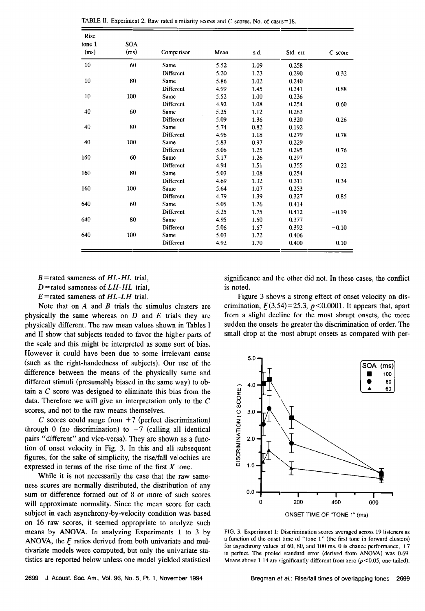| Rise   | <b>SOA</b> |                  |      |      |           |           |
|--------|------------|------------------|------|------|-----------|-----------|
| tone 1 |            |                  |      |      |           |           |
| (ms)   | (ms)       | Comparison       | Mean | s.d. | Std. err. | $C$ score |
| 10     | 60         | Same             | 5.52 | 1.09 | 0.258     |           |
|        |            | Different        | 5.20 | 1.23 | 0.290     | 0.32      |
| 10     | 80         | Same             | 5.86 | 1.02 | 0.240     |           |
|        |            | Different        | 4.99 | 1.45 | 0.341     | 0.88      |
| 10     | 100        | Same             | 5.52 | 1.00 | 0.236     |           |
|        |            | Different        | 4.92 | 1.08 | 0.254     | 0.60      |
| 40     | 60         | Same             | 5.35 | 1.12 | 0.263     |           |
|        |            | Different        | 5.09 | 1.36 | 0.320     | 0.26      |
| 40     | 80         | Same             | 5.74 | 0.82 | 0.192     |           |
|        |            | Different        | 4,96 | 1.18 | 0.279     | 0.78      |
| 40     | 100        | Same             | 5.83 | 0.97 | 0.229     |           |
|        |            | <b>Different</b> | 5.06 | 1.25 | 0.295     | 0.76      |
| 160    | 60         | Same             | 5.17 | 1.26 | 0.297     |           |
|        |            | Different        | 4.94 | 1.51 | 0.355     | 0.22      |
| 160    | 80         | Same             | 5.03 | 1.08 | 0.254     |           |
|        |            | Different        | 4.69 | 132  | 0.311     | 0.34      |
| 160    | 100        | Same             | 5.64 | 107  | 0.253     |           |
|        |            | Different        | 4.79 | 1.39 | 0.327     | 0.85      |
| 640    | 60         | Same             | 5.05 | 1.76 | 0.414     |           |
|        |            | <b>Different</b> | 5.25 | 1.75 | 0.412     | $-0.19$   |
| 640    | 80         | Same             | 4.95 | 1.60 | 0.377     |           |
|        |            | Different        | 5.06 | 1.67 | 0.392     | $-0.10$   |
| 640    | 100        | Same             | 5.03 | 1.72 | 0.406     |           |
|        |            | <b>Different</b> | 4.92 | 1.70 | 0.400     | 0.10      |

**TABLE II. Experiment 2. Raw rated similarity scores and**  $C$  **scores. No. of cases = 18.** 

**B =rated sameness of HL-HL trial,** 

**D =rated sameness of LH-HL trial,** 

**E=rated sameness of HL-LH trial.** 

**Note that on A and B trials the stimulus clusters are physically the same whereas on D and E trials they are physically different. The raw mean values shown in Tables I and II show that subjects tended to favor the higher parts of the scale and this might be interpreted as some sort of bias. However it could have been due to some irrelevant cause (such as the right-handedness of subjects). Our use of the difference between the means of the physically same and different stimuli (presumably biased in the same way) to ob**tain a C score was designed to eliminate this bias from the **data. Therefore we will give an interpretation only to the C scores, and not to the raw means themselves.** 

**C scores could range from +7 (perfect discrimination)**  through 0 (no discrimination) to  $-7$  (calling all identical **pairs "different" and vice-versa). They are shown as a function of onset velocity in Fig. 3. In this and all subsequent figures, for the sake of simplicity, the rise/fall velocities are**  expressed in terms of the rise time of the first  $X$  tone.

**While it is not necessarily the case that the raw sameness scores are normally distributed, the distribution of any sum or difference formed out of 8 or more of such scores will approximate normality. Since the mean score for each subject in each asynchrony-by-velocity condition was based on 16 raw scores, it seemed appropriate to analyze such means by ANOVA. In analyzing Experiments 1 to 3 by ANOVA, the F ratios derived from both univariate and multivariate models were computed, but only the univariate statistics are reported below unless one model yielded statistical**  **significance and the other did not. In these cases, the conflict is noted.** 

**Figure 3 shows a strong effect of onset velocity on dis**crimination,  $F(3,54)=25.3$ ,  $p<0.0001$ . It appears that, apart **from a slight decline for the most abrupt onsets, the more**  sudden the onsets the greater the discrimination of order. The small drop at the most abrupt onsets as compared with per-



**FIG. 3. Experiment 1: Discrimination scores averaged acrosa 19 listeners as**  a function of the onset time of "tone 1" (the first tone in forward clusters) for asynchrony values of 60, 80, and 100 ms. 0 is chance performance,  $+7$ **is perfect. The pooled standard error (derived from ANOVA) was 0.69.**  Means above 1.14 are significantly different from zero ( $p$ <0.05, one-tailed).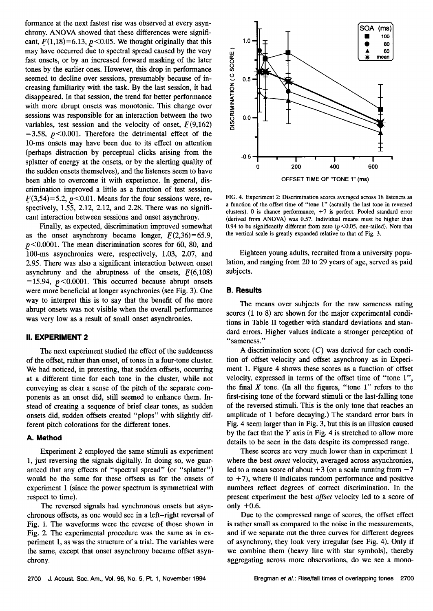**formance at the next fastest rise was observed at every asynchrony. ANOVA showed that these differences were signifi**cant,  $F(1,18)=6.13$ ,  $p<0.05$ . We thought originally that this **may have occurred due to spectral spread caused by the very fast onsets, or by an increased forward masking of the later tones by the earlier ones. However, this drop in performance seemed to decline over sessions, presumably because of increasing familiarity with the task. By the last session, it had disappeared. In that session, the trend for better performance with more abrupt onsets was monotonic. This change over sessions was responsible for an interaction between the two**  variables, test session and the velocity of onset,  $F(9,162)$  $=3.58$ ,  $p < 0.001$ . Therefore the detrimental effect of the **10-ms onsets may have been due to its effect on attention (perhaps distraction by perceptual clicks arising from the splatter of energy at the onsets, or by the alerting quality of the sudden onsets themselves), and the listeners seem to have been able to overcome it with experience. In general, discrimination improved a little as a function of test session,**   $F(3,54)=5.2$ ,  $p<0.01$ . Means for the four sessions were, re**spectively, 1.55, 2.12, 2.12, and 2.28. There was no significant interaction between sessions and onset asynchrony.** 

**Finally, as expected, discrimination improved somewhat**  as the onset asynchrony became longer,  $F(2,36)=65.9$ ,  $p$ <0.0001. The mean discrimination scores for 60, 80, and **100-ms asynchronies were, respectively, 1.03, 2.07, and 2.95. There was also a significant interaction between onset**  asynchrony and the abruptness of the onsets,  $F(6,108)$  $=$ 15.94,  $p$ <0.0001. This occurred because abrupt onsets **were more beneficial at longer asynchronies (see Fig. 3). One way to interpret this is to say that the benefit of the more abrupt onsets was not visible when the overall performance was very low as a result of small onset asynchronies.** 

## **II. EXPERIMENT 2**

**The next experiment studied the effect of the suddenness of the offset, rather than onset, of tones in a four-tone cluster. We had noticed, in pretesting, that sudden offsets, occurring at a different time for each tone in the cluster, while not conveying as clear a sense of the pitch of the separate components as an onset did, still seemed to enhance them. Instead of creating a sequence of brief clear tones, as sudden onsets did, sudden offsets created "plops" with slightly different pitch colorations for the different tones.** 

#### **A. Method**

**Experiment 2 employed the same stimuli as experiment 1, just reversing the signals digitally. In doing so, we guaranteed that any effects of "spectral spread" (or "splatter") would be the same for these offsets as for the onsets of experiment 1(since the power spectrum is symmetrical with respect to time).** 

**The reversed signals had synchronous onsets but asynchronous offsets, as one would see in a left-right reversal of Fig. 1. The waveforms were the reverse of those shown in Fig. 2. The experimental procedure was the same as in experiment 1, as was the structure of a trial. The variables were the same, except that onset asynchrony became offset asynchrony.** 



**FIG. 4. Experiment 2: Discrimination scores averaged across 18 listeners as a function of the offset time of "tone 1" (actually the last tone in reversed**  clusters). 0 is chance performance, +7 is perfect. Pooled standard error **(derived from ANOVA) was 0.57. Individual means must be higher than**  0.94 to be significantly different from zero  $(p<0.05$ , one-tailed). Note that **the vertical scale is greatly expanded relative to that of Fig. 3.** 

**Eighteen young adults, recruited from a university population, and ranging from 20 to 29 years of age, served as paid subjects.** 

## **B. Results**

**The means over subjects for the raw sameness rating scores (1 to 8) are shown for the major experimental conditions in Table II together with standard deviations and standard errors. Higher values indicate a stronger perception of "sameness."** 

**A discrimination score (C) was derived for each condition of offset velocity and offset asynchrony as in Experiment 1. Figure 4 shows these scores as a function of offset velocity, expressed in terms of the offset time of "tone 1",**  the final  $X$  tone. (In all the figures, "tone  $1$ " refers to the **first-rising tone of the forward stimuli or the last-falling tone of the reversed stimuli. This is the only tone that reaches an amplitude of 1 before decaying.) The standard error bars in Fig. 4 seem larger than in Fig. 3, but this is an illusion caused by the fact that the Y axis in Fig. 4 is stretched to allow more details to be seen in the data despite its compressed range.** 

**These scores are very much lower than in experiment 1 where the best onset velocity, averaged across asynchronies,**  led to a mean score of about  $+3$  (on a scale running from  $-7$ **to +7), where 0 indicates random performance and positive numbers reflect degrees of correct discrimination. In the present experiment the best offset velocity led to a score of only +0.6.** 

**Due to the compressed range of scores, the offset effect is rather small as compared to the noise in the measurements, and if we separate out the three curves for different degrees of asynchrony, they look very irregular (see Fig. 4). Only if we combine them (heavy line with star symbols), thereby aggregating across more observations, do we see a mono-**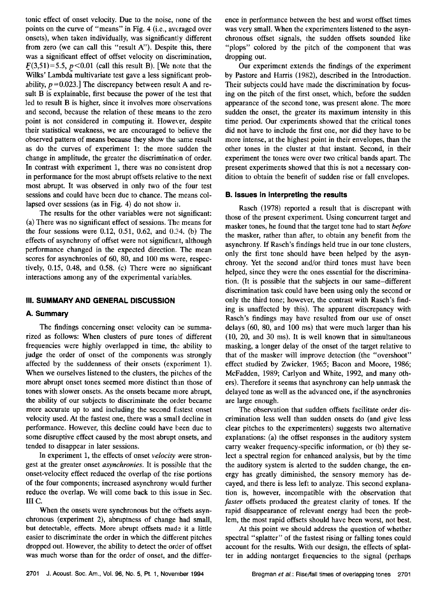**tonic effect of onset velocity. Due to the noise, none of the**  points on the curve of "means" in Fig. 4 (i.e., averaged over **onsets), when taken individually, was significantly different**  from zero (we can call this "result A"). Despite this, there **was a significant effect of offset velocity on discrimination,**   $F(3,51)=5.5$ ,  $p<0.01$  (call this result B). [We note that the **Wilks' Lambda multivariate test gave a less significant prob**ability,  $p = 0.023$ .] The discrepancy between result A and re**sult B is explainable, first because the power of the test that led to result B is higher, since it involves more observations and second, because the relation of these means to the zero point is not considered in computing it. However, despite their statistical weakness, we are encouraged to believe the observed pattern of means because they show the :same result**  as do the curves of experiment 1: the more sudden the change in amplitude, the greater the discrimination of order. In contrast with experiment 1, there was no consistent drop in performance for the most abrupt offsets relative to the next **most abrupt. It was observed in only two of the four test sessions and could have been due to chance. The means collapsed over sessions (as in Fig. 4) do not show ii.** 

**The results for the other variables were not significant: (a) There was no significant effect of sessions. The means for**  the four sessions were 0.12, 0.51, 0.62, and 0.34. (b) The effects of asynchrony of offset were not significant, although **performance changed in the expected direction. The mean scores for asynchronies of 60, 80, and 100 ms were, respectively, 0.15, 0.48, and 0.58. (c) There were no significant**  interactions among any of the experimental variables.

## **III. SUMMARY AND GENERAL DISCUSSION**

#### **A. Summary**

**The findings concerning onset velocity can be summarized as follows: When clusters of pure tones of different frequencies were highly overlapped in time, the. ability to judge the order of onset of the components was strongly**  affected by the suddenness of their onsets (experiment 1). When we ourselves listened to the clusters, the pitches of the **more abrupt onset tones seemed more distinct than those of tones with slower onsets. As the onsets became more abrupt, the ability of our subjects to discriminate the order became**  more accurate up to and including the second fastest onset **velocity used. At the fastest one, there was a small decline in performance.** However, this decline could have been due to some disruptive effect caused by the most abrupt onsets, and **tended to disappear in later sessions.** 

In experiment 1, the effects of onset *velocity* were stron**gest at the greater onset asynchronies. It is possible that the onset-velocity effect reduced the overlap of the rise portions of the four components; increased asynchrony would further reduce the overlap. We will come back to this issue in Sec. III C.** 

**When the onsets were synchronous but the offsets asyn**chronous (experiment 2), abruptness of change had small, **but detectable, effects. More abrupt offsets madz it a little easier to discriminate the order in which the different pitches dropped out. However, the ability to detect the order of offset was much worse than for the order of onset, and the differ-**

**ence in performance between the best and worst offset times was very small. When the experimenters listened to the asynchronous offset signals, the sudden offsets sounded like "plops" colored by the pitch of the component that was dropping out.** 

Our experiment extends the findings of the experiment **by Pastore and Harris (1982), described in the Introduction. Their subjects could have made the discrimination by focusing on the pitch of the first onset, which, before the sudden appearance of the second tone, was present alone. The more sudden the onset, the greater its maximum intensity in this**  time period. Our experiments showed that the critical tones **did not have to include the first one, nor did they have to be more intense, at the highest point in their envelopes, than the other tones in the cluster at that instant. Second, in their experiment the tones were over two critical bands apart. The present experiments showed that this is not a necessary condition to obtain the benefit of sudden rise or fall envelopes.** 

## **B. Issues in interpreting the results**

**Rasch (1978) reported a result that is discrepant with those of the present experiment. Using concurrent target and masker tones, he found that the target tone had to start before the masker, rather than after, to obtain any benefit from the asynchrony. If Rasch's findings held true in our tone clusters, only the first tone should have been helped by the asynchrony. Yet the second and/or third tones must have been helped, since they were the ones essential for the discrimination. (It is possible that the subjects in our same-different discrimination task could have been using only the second or only the third tone; however, the contrast with Rasch's find\* ing is unaffected by this). The apparent discrepancy with**  Rasch's findings may have resulted from our use of onset **delays (60, 80, and 100 ms) that were much larger than his (10, 20, and 30 ms). It is well known that in simultaneous masking, a longer delay of the onset of the target relative to that of the masker will improve detection (the "overshoot" effect studied by Zwicker, 1965; Bacon and Moore, 1986; McFadden, 1989; Carlyon and White, 1992, and many oth**ers). Therefore it seems that asynchrony can help unmask the **delayed tone as well as the advanced one, if the asynchronies are large enough.** 

**The observation that sudden offsets facilitate order discrimination less well than sudden onsets do (and give less clear pitches to the experimenters) suggests two alternative explanations: (a) the offsel: responses in the auditory system carry weaker frequency-specific information, or (b) they select a spectral region for enhanced analysis, but by the time the auditory system is alerted to the sudden change, the energy has greatly diminished, the sensory memory has decayed, and there i:s less left to analyze. This second explanation is, however, incompatible with the observation that faster offsets produced the greatest clarity of tones. If the rapid disappearance of relevant energy had been the problem, the most rapid offsets should have been worst, not best.** 

**At this point we should address the question of whether spectral "splatter" of the fastest rising or falling tones could account for the results: With our design, the effects of splatter in adding nontarget fiequencies to the signal (perhaps**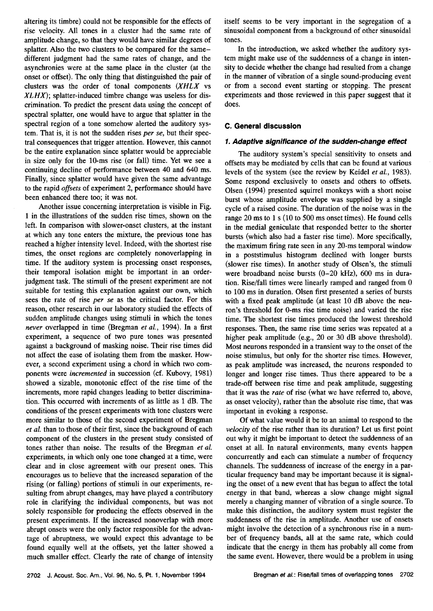**altering its timbre) could not be responsible for the effects of rise velocity. All tones in a cluster had the same rate of amplitude change, so that they would have similar degrees of splatter. Also the two clusters to be compared for the samedifferent judgment had the same rates of change, and the asynchronies were at the same place in the cluster (at the onset or offset). The only thing that distinguished the pair of clusters was the order of tonal components (XHLX vs XLHX); splatter-induced timbre change was useless for discrimination. To predict the present data using the concept of spectral splatter, one would have to argue that splatter in the spectral region of a tone somehow alerted the auditory system. That is, it is not the sudden rises per se, but their spectral consequences that trigger attention. However, this cannot be the entire explanation since splatter would be appreciable in size only for the 10-ms rise (or fall) time. Yet we see a continuing decline of performance between 40 and 640 ms. Finally, since splatter would have given the same advantage to the rapid offsets of experiment 2, performance should have been enhanced there too; it was not.** 

**Another issue concerning interpretation is visible in Fig. 1 in the illustrations of the sudden rise times, shown on the left. In comparison with slower-onset clusters, at the instant at which any tone enters the mixture, the previous tone has reached a higher intensity level. Indeed, with the shortest rise times, the onset regions are completely nonoverlapping in time. If the auditory system is processing onset responses, their temporal isolation might be important in an orderjudgment task. The stimuli of the present experiment are not suitable for testing this explanation against our own, which sees the rate of rise per se as the critical factor. For this reason, other research in our laboratory studied the effects of sudden amplitude changes using stimuli in which the tones never overlapped in time (Bregman et al., 1994). In a first experiment, a sequence of two pure tones was presented against a background of masking noise. Their rise times did not affect the ease of isolating them from the masker. However, a second experiment using a chord in which two components were incremented in succession (cf. Kubovy, 1981) showed a sizable, monotonic effect of the rise time of the increments, more rapid changes leading to better discrimination. This occurred with increments of as little as i dB. The conditions of the present experiments with tone clusters were more similar to those of the second experiment of Bregman et al. than to those of their first, since the background of each component of the clusters in the present study consisted of tones rather than noise. The results of the Bregman et al. experiments, in which only one tone changed at a time, were clear and in close agreement with our present ones. This encourages us to believe that the increased separation of the**  rising (or falling) portions of stimuli in our experiments, re**suiting from abrupt changes, may have played a contributory role in clarifying the individual components, but was not solely responsible for producing the effects observed in the present experiments. If the increased nonoverlap with more abrupt onsets were the only factor responsible for the advantage of abruptness, we would expect this advantage to be found equally well at the offsets, yet the latter showed a much smaller effect. Clearly the rate of change of intensity**  **itself seems to be very important in the segregation of a sinusoidal component from a background of other sinusoidal tones.** 

**In the introduction, we asked whether the auditory system might make use of the suddenness of a change in intensity to decide whether the change had resulted from a change in the manner of vibration of a single sound-producing event or from a second event starting or stopping. The present**  experiments and those reviewed in this paper suggest that it **does.** 

# **C. General discussion**

## **1. Adaptive significance of the sudden-change effect**

**The auditory system's special sensitivity to onsets and offsets may be mediated by cells that can be found at various levels of the system (see the review by Keidel et al., 1983). Some respond exclusively to onsets and others to offsets. Olsen (1994) presented squirrel monkeys with a short noise burst whose amplitude envelope was supplied by a single cycle of a raised cosine. The duration of the noise was in the range 20 ms to 1 s (10 to 500 ms onsetimes). He found cells in the medial geniculate that responded better to the shorter bursts (which also had a faster rise time). More specifically, the maximum firing rate seen in any 20-ms temporal window in a poststimulus histogram declined with longer bursts (slower rise times). In another study of Olsen's, the stimuli were broadband noise bursts (0-20 kHz), 600 ms in duration. Rise/fall times were linearly ramped and ranged from 0 to 100 ms in duration. Olsen first presented a series of bursts with a fixed peak amplitude (at least 10 dB above the neuron's threshold for O-ms rise time noise) and varied the rise time. The shortest rise times produced the lowest threshold responses. Then, the same rise time series was repeated at a higher peak amplitude (e.g., 20 or 30 dB above threshold). Most neurons responded in a transient way to the onset of the noise stimulus, but only for the shorter rise times. However, as peak amplitude was increased, the neurons responded to longer and longer rise times. Thus there appeared to be a trade-off between rise time and peak amplitude, suggesting that it was the rate of rise (what we have referred to, above, as onset velocity), rather than the absolute rise time, that was important in evoking a response.** 

**Of what value would it be to an animal to respond to the velocity of the rise rather than its duration? Let us first point**  out why it might be important to detect the suddenness of an **onset at all. In natural environments, many events happen concurrently and each can stimulate a number of frequency channels. The suddenness of increase of the energy in a particular frequency band may be important because it is signaling the onset of a new event that has begun to affect the total energy in that band, whereas a slow change might signal merely a changing manner of vibration of a single source. To make this distinction, the auditory system must register the suddenness of the rise in amplitude. Another use of onsets might involve the detection of a synchronous rise in a number of frequency bands, all at the same rate, which could indicate that the energy in them has probably all come from the same event. However, there would be a problem in using**